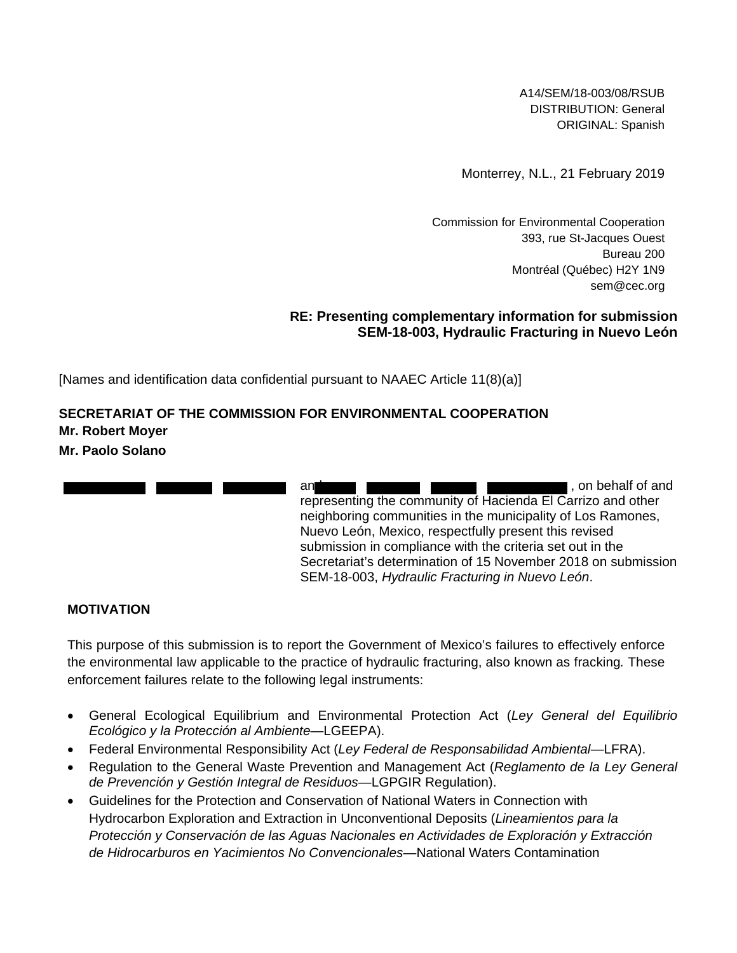A14/SEM/18-003/08/RSUB DISTRIBUTION: General ORIGINAL: Spanish

Monterrey, N.L., 21 February 2019

Commission for Environmental Cooperation 393, rue St-Jacques Ouest Bureau 200 Montréal (Québec) H2Y 1N9 [sem@cec.org](mailto:SEM@cec.org)

#### **RE: Presenting complementary information for submission SEM-18-003, Hydraulic Fracturing in Nuevo León**

[Names and identification data confidential pursuant to NAAEC Article 11(8)(a)]

# **SECRETARIAT OF THE COMMISSION FOR ENVIRONMENTAL COOPERATION Mr. Robert Moyer Mr. Paolo Solano**

and **and the set of and the set of and set of and and set of and set of and set of and set of and set of and set of and set of and set of and set of and set of and set of and set of and set of and set of and set of and set** representing the community of Hacienda El Carrizo and other neighboring communities in the municipality of Los Ramones, Nuevo León, Mexico, respectfully present this revised submission in compliance with the criteria set out in the Secretariat's determination of 15 November 2018 on submission SEM-18-003, *Hydraulic Fracturing in Nuevo León*.

## **MOTIVATION**

This purpose of this submission is to report the Government of Mexico's failures to effectively enforce the environmental law applicable to the practice of hydraulic fracturing, also known as fracking*.* These enforcement failures relate to the following legal instruments:

- General Ecological Equilibrium and Environmental Protection Act (*Ley General del Equilibrio Ecológico y la Protección al Ambiente*—LGEEPA).
- Federal Environmental Responsibility Act (*Ley Federal de Responsabilidad Ambiental*—LFRA).
- Regulation to the General Waste Prevention and Management Act (*Reglamento de la Ley General de Prevención y Gestión Integral de Residuos*—LGPGIR Regulation).
- Guidelines for the Protection and Conservation of National Waters in Connection with Hydrocarbon Exploration and Extraction in Unconventional Deposits (*Lineamientos para la Protección y Conservación de las Aguas Nacionales en Actividades de Exploración y Extracción de Hidrocarburos en Yacimientos No Convencionales*—National Waters Contamination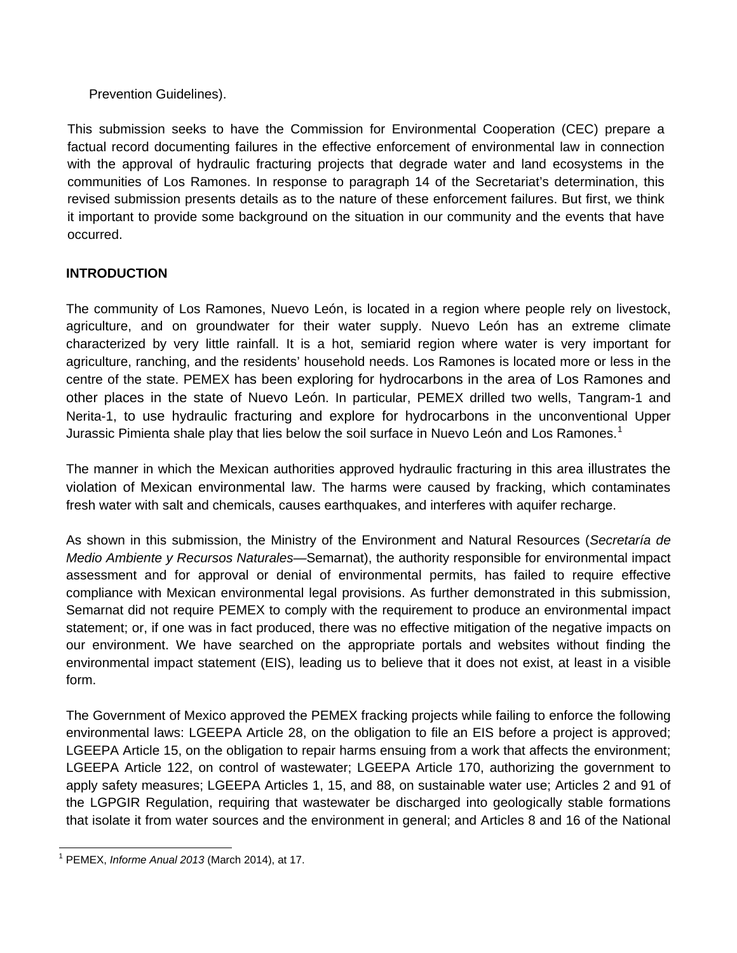#### Prevention Guidelines).

This submission seeks to have the Commission for Environmental Cooperation (CEC) prepare a factual record documenting failures in the effective enforcement of environmental law in connection with the approval of hydraulic fracturing projects that degrade water and land ecosystems in the communities of Los Ramones. In response to paragraph 14 of the Secretariat's determination, this revised submission presents details as to the nature of these enforcement failures. But first, we think it important to provide some background on the situation in our community and the events that have occurred.

## **INTRODUCTION**

The community of Los Ramones, Nuevo León, is located in a region where people rely on livestock, agriculture, and on groundwater for their water supply. Nuevo León has an extreme climate characterized by very little rainfall. It is a hot, semiarid region where water is very important for agriculture, ranching, and the residents' household needs. Los Ramones is located more or less in the centre of the state. PEMEX has been exploring for hydrocarbons in the area of Los Ramones and other places in the state of Nuevo León. In particular, PEMEX drilled two wells, Tangram-1 and Nerita-1, to use hydraulic fracturing and explore for hydrocarbons in the unconventional Upper Jurassic Pimienta shale play that lies below the soil surface in Nuevo León and Los Ramones.<sup>[1](#page-1-0)</sup>

The manner in which the Mexican authorities approved hydraulic fracturing in this area illustrates the violation of Mexican environmental law. The harms were caused by fracking, which contaminates fresh water with salt and chemicals, causes earthquakes, and interferes with aquifer recharge.

As shown in this submission, the Ministry of the Environment and Natural Resources (*Secretaría de Medio Ambiente y Recursos Naturales—*Semarnat), the authority responsible for environmental impact assessment and for approval or denial of environmental permits, has failed to require effective compliance with Mexican environmental legal provisions. As further demonstrated in this submission, Semarnat did not require PEMEX to comply with the requirement to produce an environmental impact statement; or, if one was in fact produced, there was no effective mitigation of the negative impacts on our environment. We have searched on the appropriate portals and websites without finding the environmental impact statement (EIS), leading us to believe that it does not exist, at least in a visible form.

The Government of Mexico approved the PEMEX fracking projects while failing to enforce the following environmental laws: LGEEPA Article 28, on the obligation to file an EIS before a project is approved; LGEEPA Article 15, on the obligation to repair harms ensuing from a work that affects the environment; LGEEPA Article 122, on control of wastewater; LGEEPA Article 170, authorizing the government to apply safety measures; LGEEPA Articles 1, 15, and 88, on sustainable water use; Articles 2 and 91 of the LGPGIR Regulation, requiring that wastewater be discharged into geologically stable formations that isolate it from water sources and the environment in general; and Articles 8 and 16 of the National

<span id="page-1-0"></span> <sup>1</sup> PEMEX, *Informe Anual 2013* (March 2014), at 17.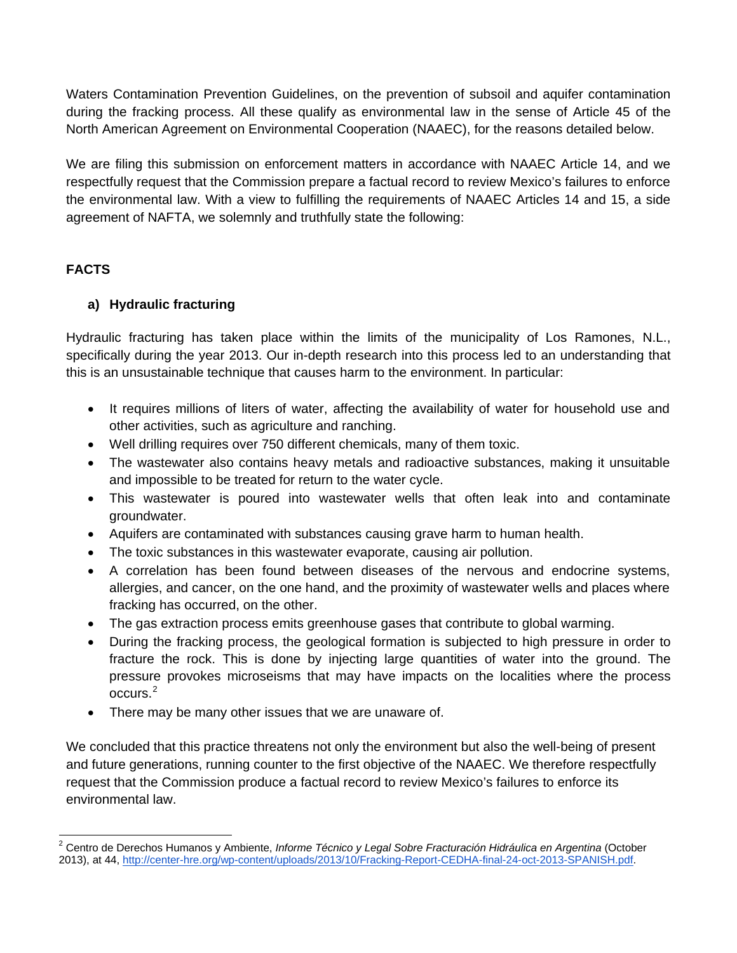Waters Contamination Prevention Guidelines, on the prevention of subsoil and aquifer contamination during the fracking process. All these qualify as environmental law in the sense of Article 45 of the North American Agreement on Environmental Cooperation (NAAEC), for the reasons detailed below.

We are filing this submission on enforcement matters in accordance with NAAEC Article 14, and we respectfully request that the Commission prepare a factual record to review Mexico's failures to enforce the environmental law. With a view to fulfilling the requirements of NAAEC Articles 14 and 15, a side agreement of NAFTA, we solemnly and truthfully state the following:

# **FACTS**

# **a) Hydraulic fracturing**

Hydraulic fracturing has taken place within the limits of the municipality of Los Ramones, N.L., specifically during the year 2013. Our in-depth research into this process led to an understanding that this is an unsustainable technique that causes harm to the environment. In particular:

- It requires millions of liters of water, affecting the availability of water for household use and other activities, such as agriculture and ranching.
- Well drilling requires over 750 different chemicals, many of them toxic.
- The wastewater also contains heavy metals and radioactive substances, making it unsuitable and impossible to be treated for return to the water cycle.
- This wastewater is poured into wastewater wells that often leak into and contaminate groundwater.
- Aquifers are contaminated with substances causing grave harm to human health.
- The toxic substances in this wastewater evaporate, causing air pollution.
- A correlation has been found between diseases of the nervous and endocrine systems, allergies, and cancer, on the one hand, and the proximity of wastewater wells and places where fracking has occurred, on the other.
- The gas extraction process emits greenhouse gases that contribute to global warming.
- During the fracking process, the geological formation is subjected to high pressure in order to fracture the rock. This is done by injecting large quantities of water into the ground. The pressure provokes microseisms that may have impacts on the localities where the process occurs.[2](#page-2-0)
- There may be many other issues that we are unaware of.

We concluded that this practice threatens not only the environment but also the well-being of present and future generations, running counter to the first objective of the NAAEC. We therefore respectfully request that the Commission produce a factual record to review Mexico's failures to enforce its environmental law.

<span id="page-2-0"></span><sup>&</sup>lt;sup>2</sup> Centro de Derechos Humanos y Ambiente, *Informe Técnico y Legal Sobre Fracturación Hidráulica en Argentina* (October 2013), at 44, [http://center-hre.org/wp-content/uploads/2013/10/Fracking-Report-CEDHA-final-24-oct-2013-SPANISH.pdf.](http://center-hre.org/wp-content/uploads/2013/10/Fracking-Report-CEDHA-final-24-oct-2013-SPANISH.pdf)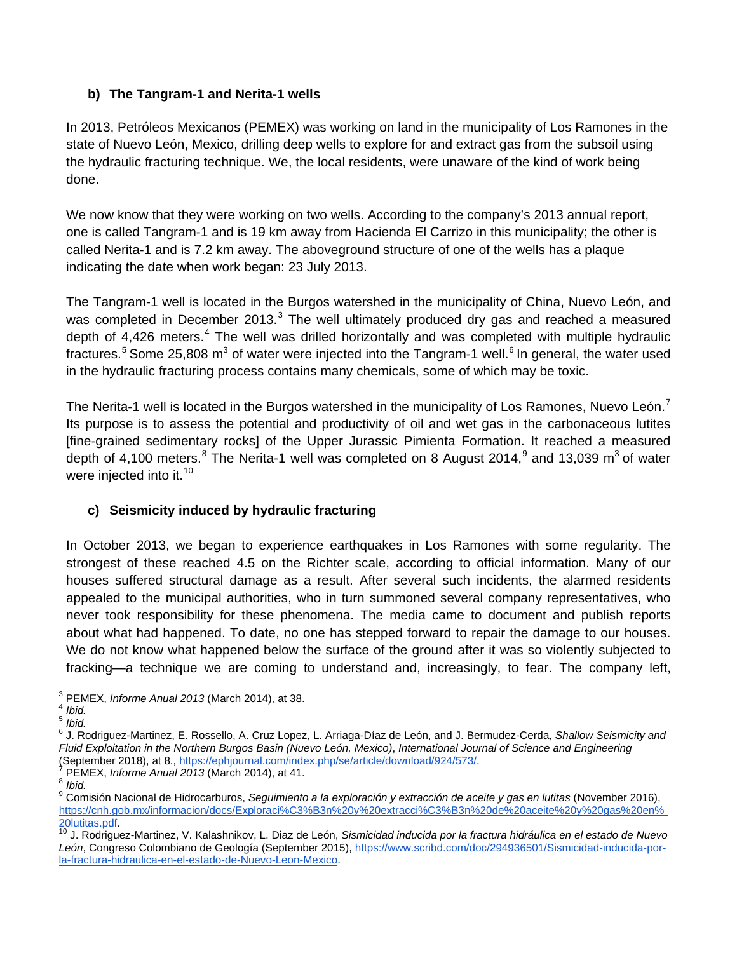# **b) The Tangram-1 and Nerita-1 wells**

In 2013, Petróleos Mexicanos (PEMEX) was working on land in the municipality of Los Ramones in the state of Nuevo León, Mexico, drilling deep wells to explore for and extract gas from the subsoil using the hydraulic fracturing technique. We, the local residents, were unaware of the kind of work being done.

We now know that they were working on two wells. According to the company's 2013 annual report, one is called Tangram-1 and is 19 km away from Hacienda El Carrizo in this municipality; the other is called Nerita-1 and is 7.2 km away. The aboveground structure of one of the wells has a plaque indicating the date when work began: 23 July 2013.

The Tangram-1 well is located in the Burgos watershed in the municipality of China, Nuevo León, and was completed in December 201[3](#page-3-0).<sup>3</sup> The well ultimately produced dry gas and reached a measured depth of [4](#page-3-1),426 meters.<sup>4</sup> The well was drilled horizontally and was completed with multiple hydraulic fractures.<sup>[5](#page-3-2)</sup> Some 25,808 m<sup>3</sup> of water were injected into the Tangram-1 well.<sup>[6](#page-3-3)</sup> In general, the water used in the hydraulic fracturing process contains many chemicals, some of which may be toxic.

The Nerita-1 well is located in the Burgos watershed in the municipality of Los Ramones, Nuevo León.<sup>[7](#page-3-4)</sup> Its purpose is to assess the potential and productivity of oil and wet gas in the carbonaceous lutites [fine-grained sedimentary rocks] of the Upper Jurassic Pimienta Formation. It reached a measured depth of 4,100 meters.<sup>[8](#page-3-5)</sup> The Nerita-1 well was completed on 8 August 2014,<sup>[9](#page-3-6)</sup> and 13,039 m<sup>3</sup> of water were injected into it. [10](#page-3-7)

# **c) Seismicity induced by hydraulic fracturing**

In October 2013, we began to experience earthquakes in Los Ramones with some regularity. The strongest of these reached 4.5 on the Richter scale, according to official information. Many of our houses suffered structural damage as a result. After several such incidents, the alarmed residents appealed to the municipal authorities, who in turn summoned several company representatives, who never took responsibility for these phenomena. The media came to document and publish reports about what had happened. To date, no one has stepped forward to repair the damage to our houses. We do not know what happened below the surface of the ground after it was so violently subjected to fracking—a technique we are coming to understand and, increasingly, to fear. The company left,

<span id="page-3-1"></span><span id="page-3-0"></span><sup>3</sup> PEMEX, *Informe Anual 2013* (March 2014), at 38. <sup>4</sup> *Ibid.* <sup>5</sup> *Ibid.*

<span id="page-3-3"></span><span id="page-3-2"></span><sup>6</sup> J. Rodriguez-Martinez, E. Rossello, A. Cruz Lopez, L. Arriaga-Díaz de León, and J. Bermudez-Cerda, *Shallow Seismicity and Fluid Exploitation in the Northern Burgos Basin (Nuevo León, Mexico)*, *International Journal of Science and Engineering*

<span id="page-3-6"></span>

<span id="page-3-5"></span><span id="page-3-4"></span><sup>&</sup>lt;sup>7</sup> PEMEX, *Informe Anual* 2013 (March 2014), at 41.<br><sup>8</sup> *Ibid.*<br><sup>9</sup> Comisión Nacional de Hidrocarburos, *Sequimiento a la exploración y extracción de aceite y gas en lutitas (November 2016),* https://cnh.gob.mx/informacion/docs/Exploraci%C3%B3n%20y%20extracci%C3%B3n%20de%20aceite%20y%20gas%20en%<br>20lutitas.pdf.<br><sup>10</sup>.J. Rodriguez-Martinez, V. Kalashnikov, J. Diaz de León. Sismicidad indugida por la fractura bidró

<span id="page-3-7"></span><sup>20</sup>lutitas.pdf. <sup>10</sup> J. Rodriguez-Martinez, V. Kalashnikov, L. Diaz de León, *Sismicidad inducida por la fractura hidráulica en el estado de Nuevo León*, Congreso Colombiano de Geología (September 2015), https:/[/www.scribd.com/doc/294936501/Sismicidad-i](http://www.scribd.com/doc/294936501/Sismicidad-)nducida-porla-fractura-hidraulica-en-el-estado-de-Nuevo-Leon-Mexico.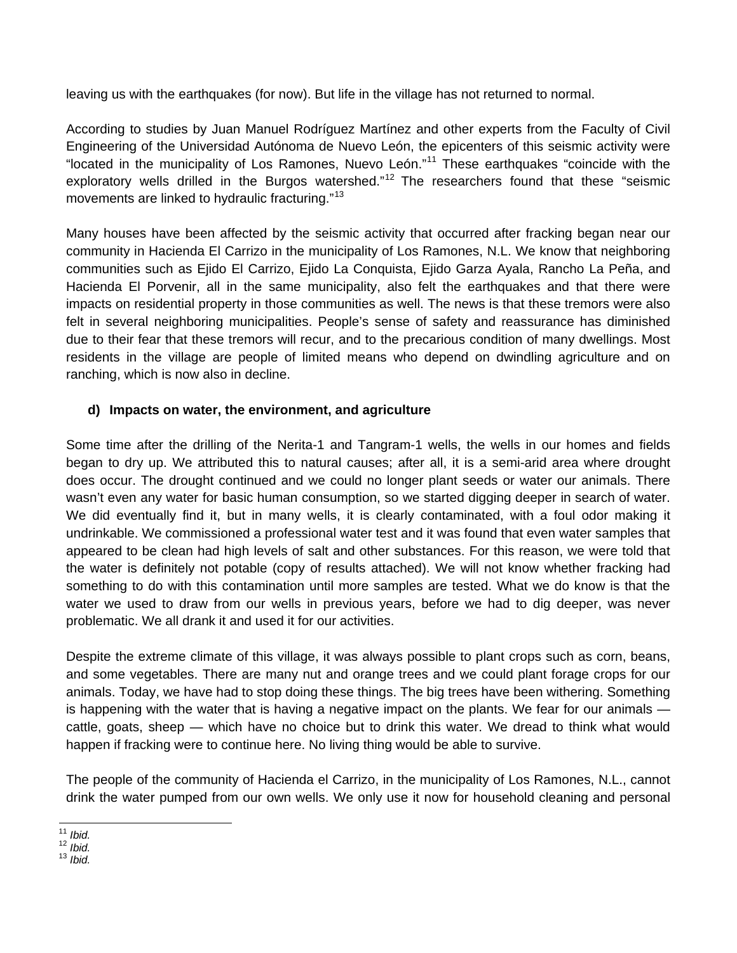leaving us with the earthquakes (for now). But life in the village has not returned to normal.

According to studies by Juan Manuel Rodríguez Martínez and other experts from the Faculty of Civil Engineering of the Universidad Autónoma de Nuevo León, the epicenters of this seismic activity were "located in the municipality of Los Ramones, Nuevo León."[11](#page-4-0) These earthquakes "coincide with the exploratory wells drilled in the Burgos watershed."<sup>[12](#page-4-1)</sup> The researchers found that these "seismic movements are linked to hydraulic fracturing."[13](#page-4-2)

Many houses have been affected by the seismic activity that occurred after fracking began near our community in Hacienda El Carrizo in the municipality of Los Ramones, N.L. We know that neighboring communities such as Ejido El Carrizo, Ejido La Conquista, Ejido Garza Ayala, Rancho La Peña, and Hacienda El Porvenir, all in the same municipality, also felt the earthquakes and that there were impacts on residential property in those communities as well. The news is that these tremors were also felt in several neighboring municipalities. People's sense of safety and reassurance has diminished due to their fear that these tremors will recur, and to the precarious condition of many dwellings. Most residents in the village are people of limited means who depend on dwindling agriculture and on ranching, which is now also in decline.

## **d) Impacts on water, the environment, and agriculture**

Some time after the drilling of the Nerita-1 and Tangram-1 wells, the wells in our homes and fields began to dry up. We attributed this to natural causes; after all, it is a semi-arid area where drought does occur. The drought continued and we could no longer plant seeds or water our animals. There wasn't even any water for basic human consumption, so we started digging deeper in search of water. We did eventually find it, but in many wells, it is clearly contaminated, with a foul odor making it undrinkable. We commissioned a professional water test and it was found that even water samples that appeared to be clean had high levels of salt and other substances. For this reason, we were told that the water is definitely not potable (copy of results attached). We will not know whether fracking had something to do with this contamination until more samples are tested. What we do know is that the water we used to draw from our wells in previous years, before we had to dig deeper, was never problematic. We all drank it and used it for our activities.

Despite the extreme climate of this village, it was always possible to plant crops such as corn, beans, and some vegetables. There are many nut and orange trees and we could plant forage crops for our animals. Today, we have had to stop doing these things. The big trees have been withering. Something is happening with the water that is having a negative impact on the plants. We fear for our animals cattle, goats, sheep — which have no choice but to drink this water. We dread to think what would happen if fracking were to continue here. No living thing would be able to survive.

The people of the community of Hacienda el Carrizo, in the municipality of Los Ramones, N.L., cannot drink the water pumped from our own wells. We only use it now for household cleaning and personal

<span id="page-4-1"></span><span id="page-4-0"></span> <sup>11</sup> *Ibid.* 12 *Ibid.* 13 *Ibid.*

<span id="page-4-2"></span>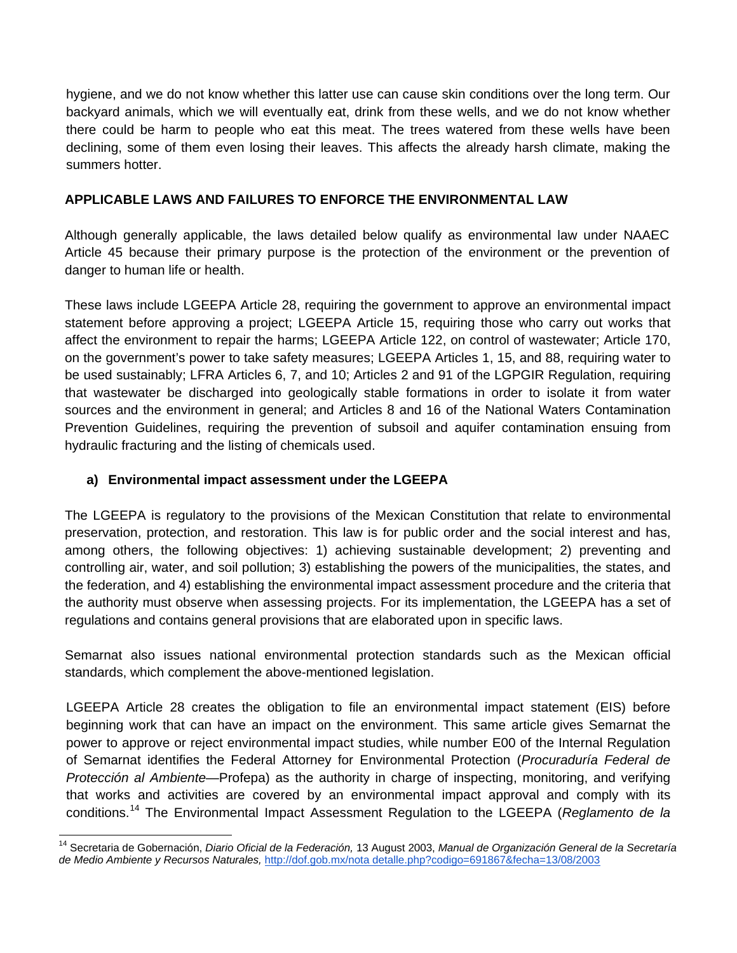hygiene, and we do not know whether this latter use can cause skin conditions over the long term. Our backyard animals, which we will eventually eat, drink from these wells, and we do not know whether there could be harm to people who eat this meat. The trees watered from these wells have been declining, some of them even losing their leaves. This affects the already harsh climate, making the summers hotter.

## **APPLICABLE LAWS AND FAILURES TO ENFORCE THE ENVIRONMENTAL LAW**

Although generally applicable, the laws detailed below qualify as environmental law under NAAEC Article 45 because their primary purpose is the protection of the environment or the prevention of danger to human life or health.

These laws include LGEEPA Article 28, requiring the government to approve an environmental impact statement before approving a project; LGEEPA Article 15, requiring those who carry out works that affect the environment to repair the harms; LGEEPA Article 122, on control of wastewater; Article 170, on the government's power to take safety measures; LGEEPA Articles 1, 15, and 88, requiring water to be used sustainably; LFRA Articles 6, 7, and 10; Articles 2 and 91 of the LGPGIR Regulation, requiring that wastewater be discharged into geologically stable formations in order to isolate it from water sources and the environment in general; and Articles 8 and 16 of the National Waters Contamination Prevention Guidelines, requiring the prevention of subsoil and aquifer contamination ensuing from hydraulic fracturing and the listing of chemicals used.

# **a) Environmental impact assessment under the LGEEPA**

The LGEEPA is regulatory to the provisions of the Mexican Constitution that relate to environmental preservation, protection, and restoration. This law is for public order and the social interest and has, among others, the following objectives: 1) achieving sustainable development; 2) preventing and controlling air, water, and soil pollution; 3) establishing the powers of the municipalities, the states, and the federation, and 4) establishing the environmental impact assessment procedure and the criteria that the authority must observe when assessing projects. For its implementation, the LGEEPA has a set of regulations and contains general provisions that are elaborated upon in specific laws.

Semarnat also issues national environmental protection standards such as the Mexican official standards, which complement the above-mentioned legislation.

LGEEPA Article 28 creates the obligation to file an environmental impact statement (EIS) before beginning work that can have an impact on the environment. This same article gives Semarnat the power to approve or reject environmental impact studies, while number E00 of the Internal Regulation of Semarnat identifies the Federal Attorney for Environmental Protection (*Procuraduría Federal de Protección al Ambiente*—Profepa) as the authority in charge of inspecting, monitoring, and verifying that works and activities are covered by an environmental impact approval and comply with its conditions. [14](#page-5-0) The Environmental Impact Assessment Regulation to the LGEEPA (*Reglamento de la* 

<span id="page-5-0"></span> <sup>14</sup> Secretaria de Gobernación, *Diario Oficial de la Federación,* <sup>13</sup> August 2003, *Manual de Organización General de la Secretaría de Medio Ambiente y Recursos Naturales,* http://dof.gob.mx/nota detalle.php?codigo=691867&fecha=13/08/2003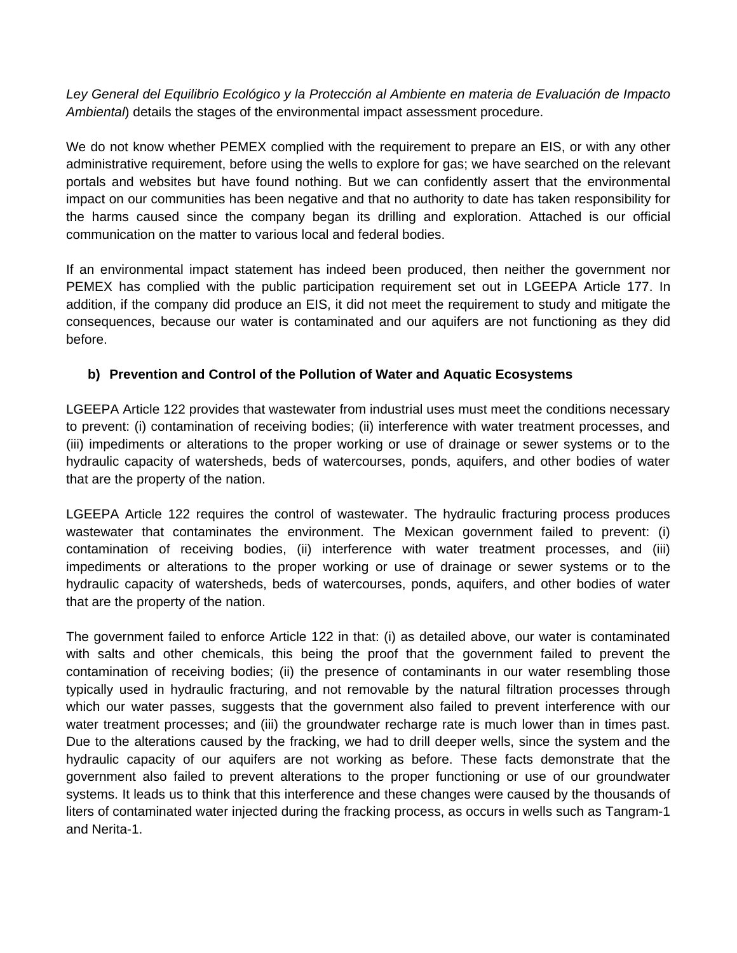*Ley General del Equilibrio Ecológico y la Protección al Ambiente en materia de Evaluación de Impacto Ambiental*) details the stages of the environmental impact assessment procedure.

We do not know whether PEMEX complied with the requirement to prepare an EIS, or with any other administrative requirement, before using the wells to explore for gas; we have searched on the relevant portals and websites but have found nothing. But we can confidently assert that the environmental impact on our communities has been negative and that no authority to date has taken responsibility for the harms caused since the company began its drilling and exploration. Attached is our official communication on the matter to various local and federal bodies.

If an environmental impact statement has indeed been produced, then neither the government nor PEMEX has complied with the public participation requirement set out in LGEEPA Article 177. In addition, if the company did produce an EIS, it did not meet the requirement to study and mitigate the consequences, because our water is contaminated and our aquifers are not functioning as they did before.

#### **b) Prevention and Control of the Pollution of Water and Aquatic Ecosystems**

LGEEPA Article 122 provides that wastewater from industrial uses must meet the conditions necessary to prevent: (i) contamination of receiving bodies; (ii) interference with water treatment processes, and (iii) impediments or alterations to the proper working or use of drainage or sewer systems or to the hydraulic capacity of watersheds, beds of watercourses, ponds, aquifers, and other bodies of water that are the property of the nation.

LGEEPA Article 122 requires the control of wastewater. The hydraulic fracturing process produces wastewater that contaminates the environment. The Mexican government failed to prevent: (i) contamination of receiving bodies, (ii) interference with water treatment processes, and (iii) impediments or alterations to the proper working or use of drainage or sewer systems or to the hydraulic capacity of watersheds, beds of watercourses, ponds, aquifers, and other bodies of water that are the property of the nation.

The government failed to enforce Article 122 in that: (i) as detailed above, our water is contaminated with salts and other chemicals, this being the proof that the government failed to prevent the contamination of receiving bodies; (ii) the presence of contaminants in our water resembling those typically used in hydraulic fracturing, and not removable by the natural filtration processes through which our water passes, suggests that the government also failed to prevent interference with our water treatment processes; and (iii) the groundwater recharge rate is much lower than in times past. Due to the alterations caused by the fracking, we had to drill deeper wells, since the system and the hydraulic capacity of our aquifers are not working as before. These facts demonstrate that the government also failed to prevent alterations to the proper functioning or use of our groundwater systems. It leads us to think that this interference and these changes were caused by the thousands of liters of contaminated water injected during the fracking process, as occurs in wells such as Tangram-1 and Nerita-1.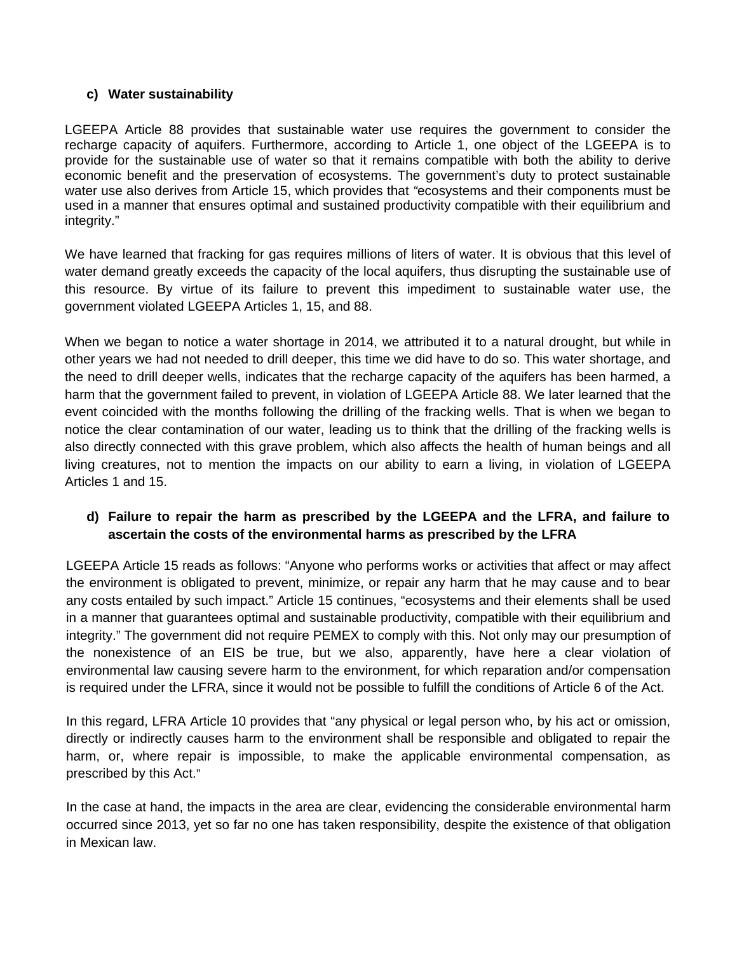#### **c) Water sustainability**

LGEEPA Article 88 provides that sustainable water use requires the government to consider the recharge capacity of aquifers. Furthermore, according to Article 1, one object of the LGEEPA is to provide for the sustainable use of water so that it remains compatible with both the ability to derive economic benefit and the preservation of ecosystems. The government's duty to protect sustainable water use also derives from Article 15, which provides that *"*ecosystems and their components must be used in a manner that ensures optimal and sustained productivity compatible with their equilibrium and integrity."

We have learned that fracking for gas requires millions of liters of water. It is obvious that this level of water demand greatly exceeds the capacity of the local aquifers, thus disrupting the sustainable use of this resource. By virtue of its failure to prevent this impediment to sustainable water use, the government violated LGEEPA Articles 1, 15, and 88.

When we began to notice a water shortage in 2014, we attributed it to a natural drought, but while in other years we had not needed to drill deeper, this time we did have to do so. This water shortage, and the need to drill deeper wells, indicates that the recharge capacity of the aquifers has been harmed, a harm that the government failed to prevent, in violation of LGEEPA Article 88. We later learned that the event coincided with the months following the drilling of the fracking wells. That is when we began to notice the clear contamination of our water, leading us to think that the drilling of the fracking wells is also directly connected with this grave problem, which also affects the health of human beings and all living creatures, not to mention the impacts on our ability to earn a living, in violation of LGEEPA Articles 1 and 15.

## **d) Failure to repair the harm as prescribed by the LGEEPA and the LFRA, and failure to ascertain the costs of the environmental harms as prescribed by the LFRA**

LGEEPA Article 15 reads as follows: "Anyone who performs works or activities that affect or may affect the environment is obligated to prevent, minimize, or repair any harm that he may cause and to bear any costs entailed by such impact." Article 15 continues, "ecosystems and their elements shall be used in a manner that guarantees optimal and sustainable productivity, compatible with their equilibrium and integrity." The government did not require PEMEX to comply with this. Not only may our presumption of the nonexistence of an EIS be true, but we also, apparently, have here a clear violation of environmental law causing severe harm to the environment, for which reparation and/or compensation is required under the LFRA, since it would not be possible to fulfill the conditions of Article 6 of the Act.

In this regard, LFRA Article 10 provides that "any physical or legal person who, by his act or omission, directly or indirectly causes harm to the environment shall be responsible and obligated to repair the harm, or, where repair is impossible, to make the applicable environmental compensation, as prescribed by this Act."

In the case at hand, the impacts in the area are clear, evidencing the considerable environmental harm occurred since 2013, yet so far no one has taken responsibility, despite the existence of that obligation in Mexican law.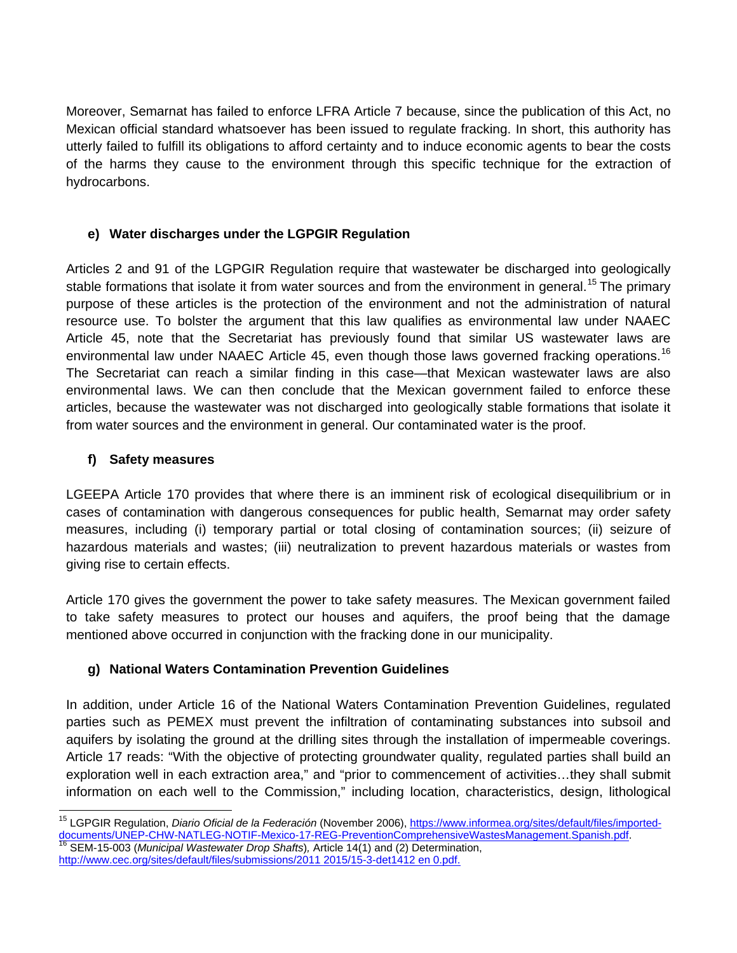Moreover, Semarnat has failed to enforce LFRA Article 7 because, since the publication of this Act, no Mexican official standard whatsoever has been issued to regulate fracking. In short, this authority has utterly failed to fulfill its obligations to afford certainty and to induce economic agents to bear the costs of the harms they cause to the environment through this specific technique for the extraction of hydrocarbons.

# **e) Water discharges under the LGPGIR Regulation**

Articles 2 and 91 of the LGPGIR Regulation require that wastewater be discharged into geologically stable formations that isolate it from water sources and from the environment in general.<sup>[15](#page-8-0)</sup> The primary purpose of these articles is the protection of the environment and not the administration of natural resource use. To bolster the argument that this law qualifies as environmental law under NAAEC Article 45, note that the Secretariat has previously found that similar US wastewater laws are environmental law under NAAEC Article 45, even though those laws governed fracking operations.<sup>[16](#page-8-1)</sup> The Secretariat can reach a similar finding in this case—that Mexican wastewater laws are also environmental laws. We can then conclude that the Mexican government failed to enforce these articles, because the wastewater was not discharged into geologically stable formations that isolate it from water sources and the environment in general. Our contaminated water is the proof.

# **f) Safety measures**

LGEEPA Article 170 provides that where there is an imminent risk of ecological disequilibrium or in cases of contamination with dangerous consequences for public health, Semarnat may order safety measures, including (i) temporary partial or total closing of contamination sources; (ii) seizure of hazardous materials and wastes; (iii) neutralization to prevent hazardous materials or wastes from giving rise to certain effects.

Article 170 gives the government the power to take safety measures. The Mexican government failed to take safety measures to protect our houses and aquifers, the proof being that the damage mentioned above occurred in conjunction with the fracking done in our municipality.

# **g) National Waters Contamination Prevention Guidelines**

In addition, under Article 16 of the National Waters Contamination Prevention Guidelines, regulated parties such as PEMEX must prevent the infiltration of contaminating substances into subsoil and aquifers by isolating the ground at the drilling sites through the installation of impermeable coverings. Article 17 reads: "With the objective of protecting groundwater quality, regulated parties shall build an exploration well in each extraction area," and "prior to commencement of activities...they shall submit information on each well to the Commission," including location, characteristics, design, lithological

<span id="page-8-1"></span>[http://www.cec.org/sites/default/files/submissions/2011 2015/15-3-det1412 en 0.pdf.](http://www.cec.org/sites/default/files/submissions/20112015/15-3-det1412en0.pdf)

<span id="page-8-0"></span><sup>&</sup>lt;sup>15</sup> LGPGIR Regulation, *Diario Oficial de la Federación* (November 2006), <u>https://www.informea.org/sites/default/files/imported-</u><br>documents/UNEP-CHW-NATLEG-NOTIF-Mexico-17-REG-PreventionComprehensiveWastesManagement.Span SEM-15-003 (*Municipal Wastewater Drop Shafts*), Article 14(1) and (2) Determination,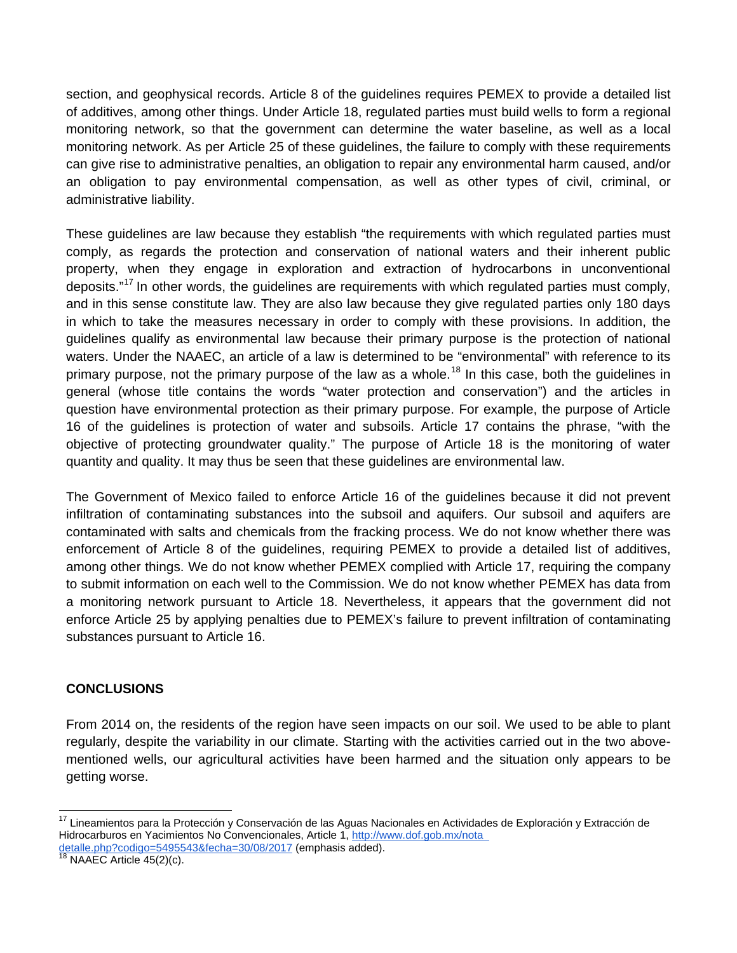section, and geophysical records. Article 8 of the guidelines requires PEMEX to provide a detailed list of additives, among other things. Under Article 18, regulated parties must build wells to form a regional monitoring network, so that the government can determine the water baseline, as well as a local monitoring network. As per Article 25 of these guidelines, the failure to comply with these requirements can give rise to administrative penalties, an obligation to repair any environmental harm caused, and/or an obligation to pay environmental compensation, as well as other types of civil, criminal, or administrative liability.

These guidelines are law because they establish "the requirements with which regulated parties must comply, as regards the protection and conservation of national waters and their inherent public property, when they engage in exploration and extraction of hydrocarbons in unconventional deposits."<sup>[17](#page-9-0)</sup> In other words, the guidelines are requirements with which regulated parties must comply, and in this sense constitute law. They are also law because they give regulated parties only 180 days in which to take the measures necessary in order to comply with these provisions. In addition, the guidelines qualify as environmental law because their primary purpose is the protection of national waters. Under the NAAEC, an article of a law is determined to be "environmental" with reference to its primary purpose, not the primary purpose of the law as a whole.<sup>[18](#page-9-1)</sup> In this case, both the guidelines in general (whose title contains the words "water protection and conservation") and the articles in question have environmental protection as their primary purpose. For example, the purpose of Article 16 of the guidelines is protection of water and subsoils. Article 17 contains the phrase, "with the objective of protecting groundwater quality." The purpose of Article 18 is the monitoring of water quantity and quality. It may thus be seen that these guidelines are environmental law.

The Government of Mexico failed to enforce Article 16 of the guidelines because it did not prevent infiltration of contaminating substances into the subsoil and aquifers. Our subsoil and aquifers are contaminated with salts and chemicals from the fracking process. We do not know whether there was enforcement of Article 8 of the guidelines, requiring PEMEX to provide a detailed list of additives, among other things. We do not know whether PEMEX complied with Article 17, requiring the company to submit information on each well to the Commission. We do not know whether PEMEX has data from a monitoring network pursuant to Article 18. Nevertheless, it appears that the government did not enforce Article 25 by applying penalties due to PEMEX's failure to prevent infiltration of contaminating substances pursuant to Article 16.

## **CONCLUSIONS**

From 2014 on, the residents of the region have seen impacts on our soil. We used to be able to plant regularly, despite the variability in our climate. Starting with the activities carried out in the two abovementioned wells, our agricultural activities have been harmed and the situation only appears to be getting worse.

<span id="page-9-0"></span><sup>&</sup>lt;sup>17</sup> Lineamientos para la Protección y Conservación de las Aguas Nacionales en Actividades de Exploración y Extracción de Hidrocarburos en Yacimientos No Convencionales, Article 1, http://www.dof.gob.mx/nota detalle.php?codigo=5495543&fecha=30/08/2017 (emphasis added).<br><sup>18</sup> NAAEC Article 45(2)(c).

<span id="page-9-1"></span>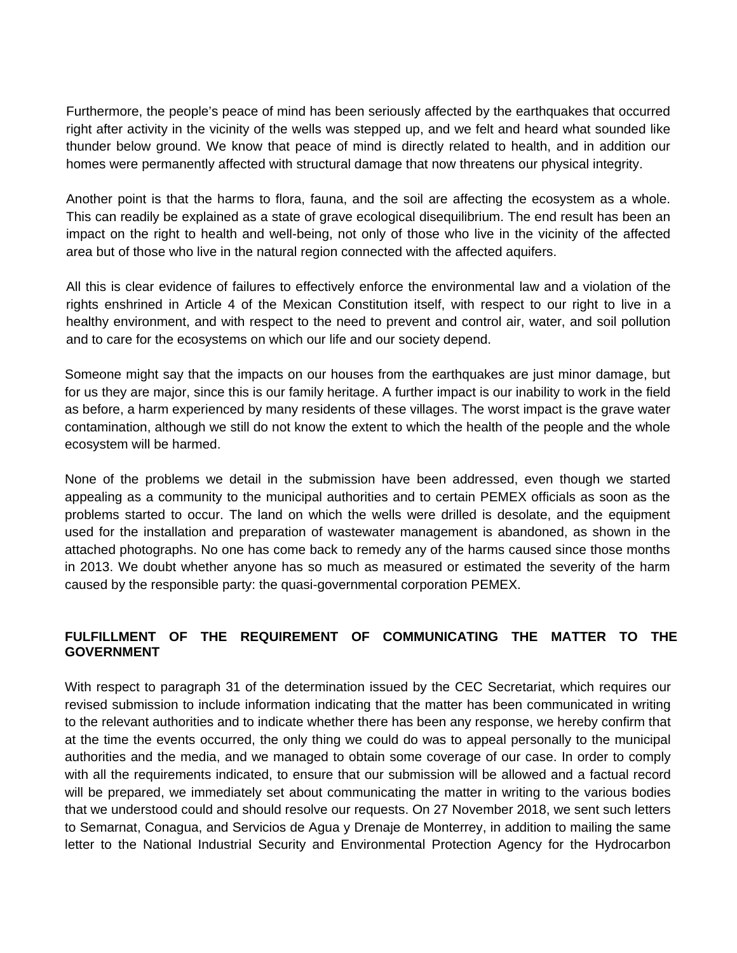Furthermore, the people's peace of mind has been seriously affected by the earthquakes that occurred right after activity in the vicinity of the wells was stepped up, and we felt and heard what sounded like thunder below ground. We know that peace of mind is directly related to health, and in addition our homes were permanently affected with structural damage that now threatens our physical integrity.

Another point is that the harms to flora, fauna, and the soil are affecting the ecosystem as a whole. This can readily be explained as a state of grave ecological disequilibrium. The end result has been an impact on the right to health and well-being, not only of those who live in the vicinity of the affected area but of those who live in the natural region connected with the affected aquifers.

All this is clear evidence of failures to effectively enforce the environmental law and a violation of the rights enshrined in Article 4 of the Mexican Constitution itself, with respect to our right to live in a healthy environment, and with respect to the need to prevent and control air, water, and soil pollution and to care for the ecosystems on which our life and our society depend.

Someone might say that the impacts on our houses from the earthquakes are just minor damage, but for us they are major, since this is our family heritage. A further impact is our inability to work in the field as before, a harm experienced by many residents of these villages. The worst impact is the grave water contamination, although we still do not know the extent to which the health of the people and the whole ecosystem will be harmed.

None of the problems we detail in the submission have been addressed, even though we started appealing as a community to the municipal authorities and to certain PEMEX officials as soon as the problems started to occur. The land on which the wells were drilled is desolate, and the equipment used for the installation and preparation of wastewater management is abandoned, as shown in the attached photographs. No one has come back to remedy any of the harms caused since those months in 2013. We doubt whether anyone has so much as measured or estimated the severity of the harm caused by the responsible party: the quasi-governmental corporation PEMEX.

## **FULFILLMENT OF THE REQUIREMENT OF COMMUNICATING THE MATTER TO THE GOVERNMENT**

With respect to paragraph 31 of the determination issued by the CEC Secretariat, which requires our revised submission to include information indicating that the matter has been communicated in writing to the relevant authorities and to indicate whether there has been any response, we hereby confirm that at the time the events occurred, the only thing we could do was to appeal personally to the municipal authorities and the media, and we managed to obtain some coverage of our case. In order to comply with all the requirements indicated, to ensure that our submission will be allowed and a factual record will be prepared, we immediately set about communicating the matter in writing to the various bodies that we understood could and should resolve our requests. On 27 November 2018, we sent such letters to Semarnat, Conagua, and Servicios de Agua y Drenaje de Monterrey, in addition to mailing the same letter to the National Industrial Security and Environmental Protection Agency for the Hydrocarbon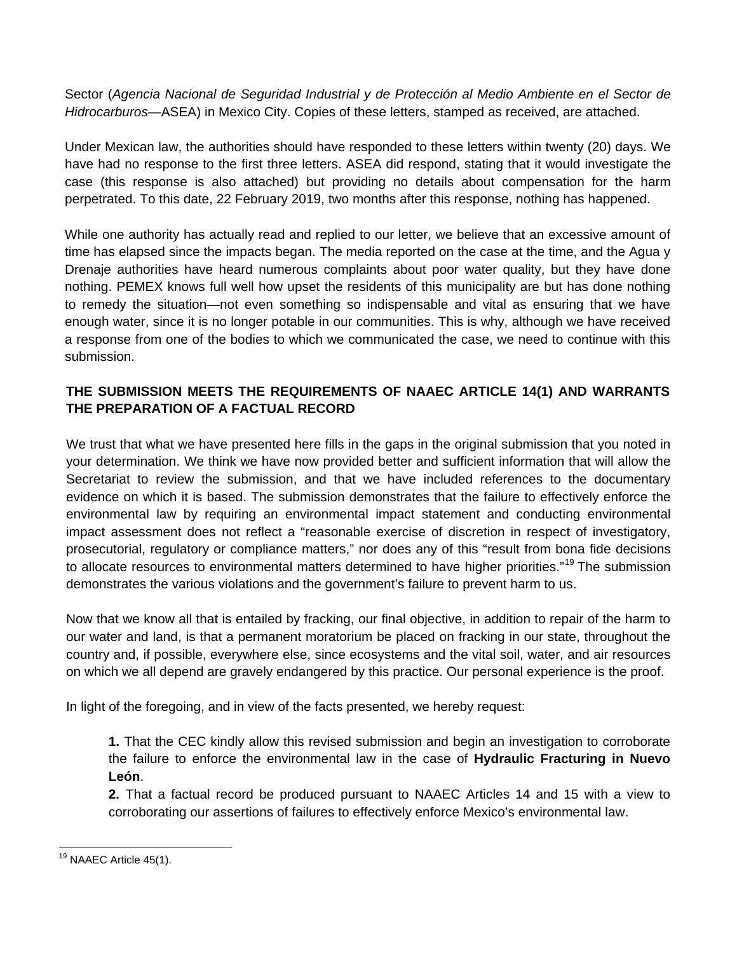Sector (*Agencia Nacional de Seguridad Industrial y de Protección al Medio Ambiente en el Sector de Hidrocarburos*—ASEA) in Mexico City. Copies of these letters, stamped as received, are attached.

Under Mexican law, the authorities should have responded to these letters within twenty (20) days. We have had no response to the first three letters. ASEA did respond, stating that it would investigate the case (this response is also attached) but providing no details about compensation for the harm perpetrated. To this date, 22 February 2019, two months after this response, nothing has happened.

While one authority has actually read and replied to our letter, we believe that an excessive amount of time has elapsed since the impacts began. The media reported on the case at the time, and the Agua y Drenaje authorities have heard numerous complaints about poor water quality, but they have done nothing. PEMEX knows full well how upset the residents of this municipality are but has done nothing to remedy the situation—not even something so indispensable and vital as ensuring that we have enough water, since it is no longer potable in our communities. This is why, although we have received a response from one of the bodies to which we communicated the case, we need to continue with this submission.

# **THE SUBMISSION MEETS THE REQUIREMENTS OF NAAEC ARTICLE 14(1) AND WARRANTS THE PREPARATION OF A FACTUAL RECORD**

We trust that what we have presented here fills in the gaps in the original submission that you noted in your determination. We think we have now provided better and sufficient information that will allow the Secretariat to review the submission, and that we have included references to the documentary evidence on which it is based. The submission demonstrates that the failure to effectively enforce the environmental law by requiring an environmental impact statement and conducting environmental impact assessment does not reflect a "reasonable exercise of discretion in respect of investigatory, prosecutorial, regulatory or compliance matters," nor does any of this "result from bona fide decisions to allocate resources to environmental matters determined to have higher priorities."<sup>[19](#page-11-0)</sup> The submission demonstrates the various violations and the government's failure to prevent harm to us.

Now that we know all that is entailed by fracking, our final objective, in addition to repair of the harm to our water and land, is that a permanent moratorium be placed on fracking in our state, throughout the country and, if possible, everywhere else, since ecosystems and the vital soil, water, and air resources on which we all depend are gravely endangered by this practice. Our personal experience is the proof.

In light of the foregoing, and in view of the facts presented, we hereby request:

**1.** That the CEC kindly allow this revised submission and begin an investigation to corroborate the failure to enforce the environmental law in the case of **Hydraulic Fracturing in Nuevo León**.

**2.** That a factual record be produced pursuant to NAAEC Articles 14 and 15 with a view to corroborating our assertions of failures to effectively enforce Mexico's environmental law.

<span id="page-11-0"></span><sup>&</sup>lt;sup>19</sup> NAAEC Article 45(1).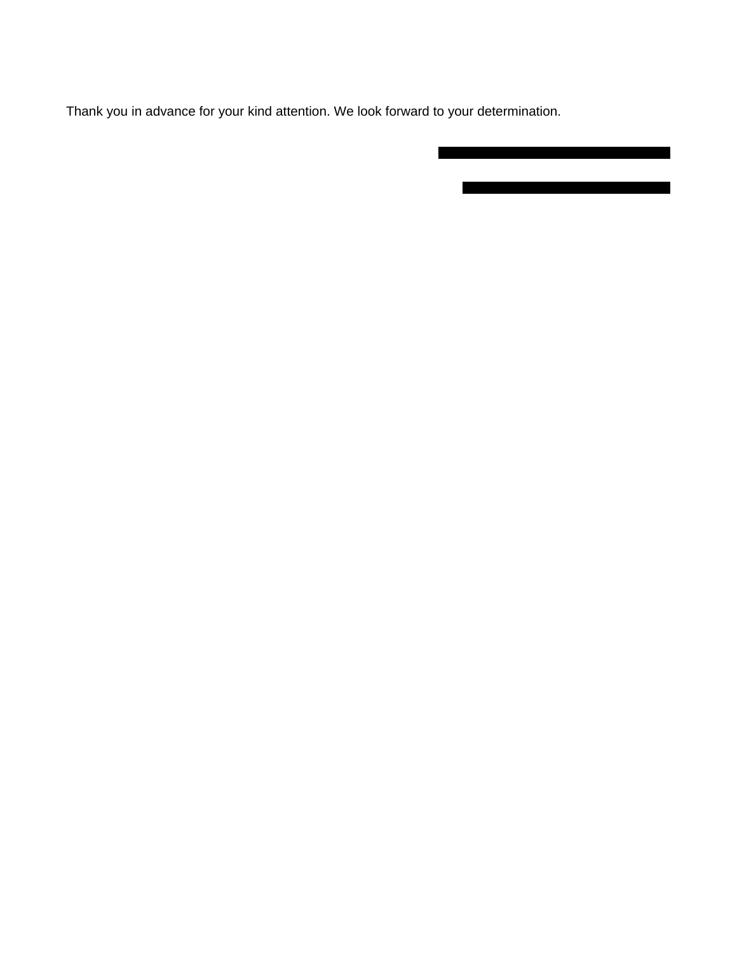Thank you in advance for your kind attention. We look forward to your determination.